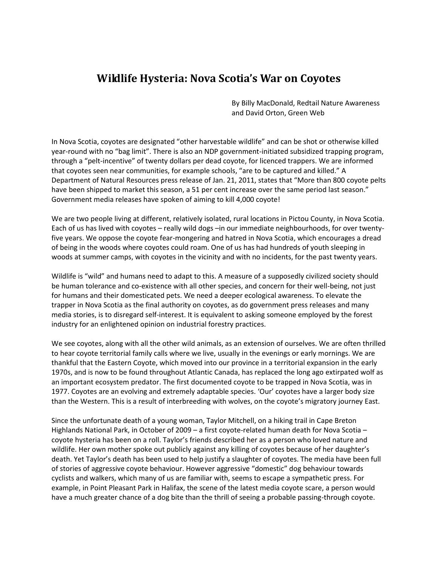## **Wildlife Hysteria: Nova Scotia's War on Coyotes**

By Billy MacDonald, Redtail Nature Awareness and David Orton, Green Web

In Nova Scotia, coyotes are designated "other harvestable wildlife" and can be shot or otherwise killed year-round with no "bag limit". There is also an NDP government-initiated subsidized trapping program, through a "pelt-incentive" of twenty dollars per dead coyote, for licenced trappers. We are informed that coyotes seen near communities, for example schools, "are to be captured and killed." A Department of Natural Resources press release of Jan. 21, 2011, states that "More than 800 coyote pelts have been shipped to market this season, a 51 per cent increase over the same period last season." Government media releases have spoken of aiming to kill 4,000 coyote!

We are two people living at different, relatively isolated, rural locations in Pictou County, in Nova Scotia. Each of us has lived with coyotes – really wild dogs –in our immediate neighbourhoods, for over twentyfive years. We oppose the coyote fear-mongering and hatred in Nova Scotia, which encourages a dread of being in the woods where coyotes could roam. One of us has had hundreds of youth sleeping in woods at summer camps, with coyotes in the vicinity and with no incidents, for the past twenty years.

Wildlife is "wild" and humans need to adapt to this. A measure of a supposedly civilized society should be human tolerance and co-existence with all other species, and concern for their well-being, not just for humans and their domesticated pets. We need a deeper ecological awareness. To elevate the trapper in Nova Scotia as the final authority on coyotes, as do government press releases and many media stories, is to disregard self-interest. It is equivalent to asking someone employed by the forest industry for an enlightened opinion on industrial forestry practices.

We see coyotes, along with all the other wild animals, as an extension of ourselves. We are often thrilled to hear coyote territorial family calls where we live, usually in the evenings or early mornings. We are thankful that the Eastern Coyote, which moved into our province in a territorial expansion in the early 1970s, and is now to be found throughout Atlantic Canada, has replaced the long ago extirpated wolf as an important ecosystem predator. The first documented coyote to be trapped in Nova Scotia, was in 1977. Coyotes are an evolving and extremely adaptable species. 'Our' coyotes have a larger body size than the Western. This is a result of interbreeding with wolves, on the coyote's migratory journey East.

Since the unfortunate death of a young woman, Taylor Mitchell, on a hiking trail in Cape Breton Highlands National Park, in October of 2009 – a first coyote-related human death for Nova Scotia – coyote hysteria has been on a roll. Taylor's friends described her as a person who loved nature and wildlife. Her own mother spoke out publicly against any killing of coyotes because of her daughter's death. Yet Taylor's death has been used to help justify a slaughter of coyotes. The media have been full of stories of aggressive coyote behaviour. However aggressive "domestic" dog behaviour towards cyclists and walkers, which many of us are familiar with, seems to escape a sympathetic press. For example, in Point Pleasant Park in Halifax, the scene of the latest media coyote scare, a person would have a much greater chance of a dog bite than the thrill of seeing a probable passing-through coyote.